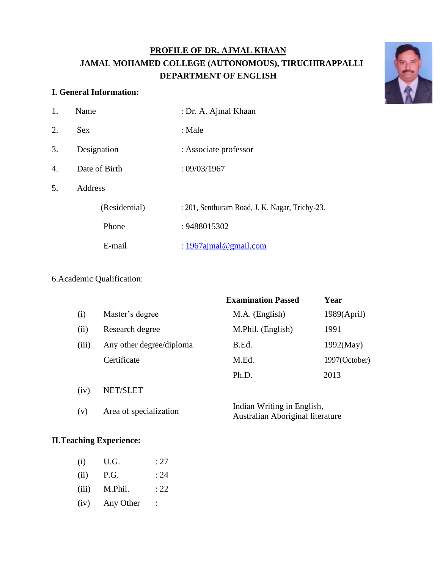# **PROFILE OF DR. AJMAL KHAAN JAMAL MOHAMED COLLEGE (AUTONOMOUS), TIRUCHIRAPPALLI DEPARTMENT OF ENGLISH**



## **I. General Information:**

| 1. | Name           | : Dr. A. Ajmal Khaan                           |  |  |
|----|----------------|------------------------------------------------|--|--|
| 2. | <b>Sex</b>     | : Male                                         |  |  |
| 3. | Designation    | : Associate professor                          |  |  |
| 4. | Date of Birth  | : 09/03/1967                                   |  |  |
| 5. | <b>Address</b> |                                                |  |  |
|    | (Residential)  | : 201, Senthuram Road, J. K. Nagar, Trichy-23. |  |  |
|    | Phone          | : 9488015302                                   |  |  |
|    | E-mail         | : $1967$ ajmal@gmail.com                       |  |  |
|    |                |                                                |  |  |

# 6.Academic Qualification:

|       |                          | <b>Examination Passed</b>                                      | Year          |
|-------|--------------------------|----------------------------------------------------------------|---------------|
| (i)   | Master's degree          | M.A. (English)                                                 | 1989(Apri)    |
| (ii)  | Research degree          | M.Phil. (English)                                              | 1991          |
| (iii) | Any other degree/diploma | B.Ed.                                                          | 1992(May)     |
|       | Certificate              | M.Ed.                                                          | 1997(October) |
|       |                          | Ph.D.                                                          | 2013          |
| (iv)  | NET/SLET                 |                                                                |               |
| (v)   | Area of specialization   | Indian Writing in English,<br>Australian Aboriginal literature |               |

## **II.Teaching Experience:**

- (i) U.G. : 27  $(ii)$  P.G. : 24 (iii) M.Phil. : 22
- (iv) Any Other :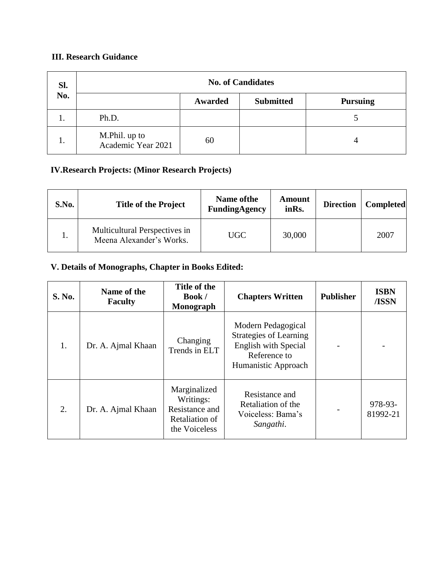# **III. Research Guidance**

| SI.<br>No. | <b>No. of Candidates</b>            |         |                  |                 |
|------------|-------------------------------------|---------|------------------|-----------------|
|            |                                     | Awarded | <b>Submitted</b> | <b>Pursuing</b> |
| ı.         | Ph.D.                               |         |                  |                 |
| 1.         | M.Phil. up to<br>Academic Year 2021 | 60      |                  |                 |

## **IV.Research Projects: (Minor Research Projects)**

| S.No. | <b>Title of the Project</b>                               | Name of the<br>FundingAgency | Amount<br>inRs. | <b>Direction</b> | <b>Completed</b> |
|-------|-----------------------------------------------------------|------------------------------|-----------------|------------------|------------------|
|       | Multicultural Perspectives in<br>Meena Alexander's Works. | UGC                          | 30,000          |                  | 2007             |

# **V. Details of Monographs, Chapter in Books Edited:**

| S. No. | Name of the<br><b>Faculty</b> | Title of the<br><b>Book</b> /<br>Monograph                                     | <b>Chapters Written</b>                                                                                                   | <b>Publisher</b> | <b>ISBN</b><br>/ISSN |
|--------|-------------------------------|--------------------------------------------------------------------------------|---------------------------------------------------------------------------------------------------------------------------|------------------|----------------------|
| 1.     | Dr. A. Ajmal Khaan            | Changing<br>Trends in ELT                                                      | Modern Pedagogical<br><b>Strategies of Learning</b><br><b>English with Special</b><br>Reference to<br>Humanistic Approach |                  |                      |
| 2.     | Dr. A. Ajmal Khaan            | Marginalized<br>Writings:<br>Resistance and<br>Retaliation of<br>the Voiceless | Resistance and<br>Retaliation of the<br>Voiceless: Bama's<br>Sangathi.                                                    |                  | 978-93-<br>81992-21  |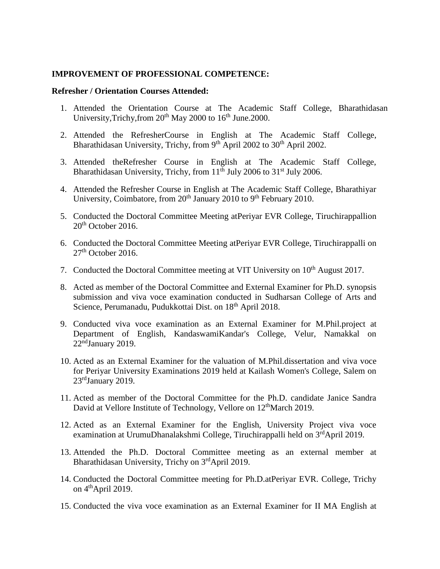### **IMPROVEMENT OF PROFESSIONAL COMPETENCE:**

#### **Refresher / Orientation Courses Attended:**

- 1. Attended the Orientation Course at The Academic Staff College, Bharathidasan University, Trichy, from  $20^{th}$  May 2000 to  $16^{th}$  June. 2000.
- 2. Attended the RefresherCourse in English at The Academic Staff College, Bharathidasan University, Trichy, from 9<sup>th</sup> April 2002 to 30<sup>th</sup> April 2002.
- 3. Attended theRefresher Course in English at The Academic Staff College, Bharathidasan University, Trichy, from  $11<sup>th</sup>$  July 2006 to 31<sup>st</sup> July 2006.
- 4. Attended the Refresher Course in English at The Academic Staff College, Bharathiyar University, Coimbatore, from  $20<sup>th</sup>$  January 2010 to 9<sup>th</sup> February 2010.
- 5. Conducted the Doctoral Committee Meeting atPeriyar EVR College, Tiruchirappallion 20<sup>th</sup> October 2016.
- 6. Conducted the Doctoral Committee Meeting atPeriyar EVR College, Tiruchirappalli on  $27<sup>th</sup>$  October 2016.
- 7. Conducted the Doctoral Committee meeting at VIT University on 10<sup>th</sup> August 2017.
- 8. Acted as member of the Doctoral Committee and External Examiner for Ph.D. synopsis submission and viva voce examination conducted in Sudharsan College of Arts and Science, Perumanadu, Pudukkottai Dist. on 18<sup>th</sup> April 2018.
- 9. Conducted viva voce examination as an External Examiner for M.Phil.project at Department of English, KandaswamiKandar's College, Velur, Namakkal on 22<sup>nd</sup>January 2019.
- 10. Acted as an External Examiner for the valuation of M.Phil.dissertation and viva voce for Periyar University Examinations 2019 held at Kailash Women's College, Salem on  $23<sup>rd</sup>$ January 2019.
- 11. Acted as member of the Doctoral Committee for the Ph.D. candidate Janice Sandra David at Vellore Institute of Technology, Vellore on 12<sup>th</sup>March 2019.
- 12. Acted as an External Examiner for the English, University Project viva voce examination at UrumuDhanalakshmi College, Tiruchirappalli held on 3<sup>rd</sup>April 2019.
- 13. Attended the Ph.D. Doctoral Committee meeting as an external member at Bharathidasan University, Trichy on 3rdApril 2019.
- 14. Conducted the Doctoral Committee meeting for Ph.D.atPeriyar EVR. College, Trichy on  $4<sup>th</sup>$ April 2019.
- 15. Conducted the viva voce examination as an External Examiner for II MA English at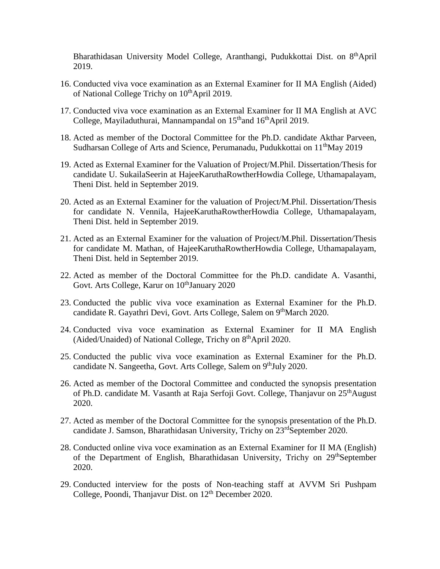Bharathidasan University Model College, Aranthangi, Pudukkottai Dist. on 8<sup>th</sup>April 2019.

- 16. Conducted viva voce examination as an External Examiner for II MA English (Aided) of National College Trichy on 10<sup>th</sup>April 2019.
- 17. Conducted viva voce examination as an External Examiner for II MA English at AVC College, Mayiladuthurai, Mannampandal on  $15<sup>th</sup>$  and  $16<sup>th</sup>$  April 2019.
- 18. Acted as member of the Doctoral Committee for the Ph.D. candidate Akthar Parveen, Sudharsan College of Arts and Science, Perumanadu, Pudukkottai on 11<sup>th</sup>May 2019
- 19. Acted as External Examiner for the Valuation of Project/M.Phil. Dissertation/Thesis for candidate U. SukailaSeerin at HajeeKaruthaRowtherHowdia College, Uthamapalayam, Theni Dist. held in September 2019.
- 20. Acted as an External Examiner for the valuation of Project/M.Phil. Dissertation/Thesis for candidate N. Vennila, HajeeKaruthaRowtherHowdia College, Uthamapalayam, Theni Dist. held in September 2019.
- 21. Acted as an External Examiner for the valuation of Project/M.Phil. Dissertation/Thesis for candidate M. Mathan, of HajeeKaruthaRowtherHowdia College, Uthamapalayam, Theni Dist. held in September 2019.
- 22. Acted as member of the Doctoral Committee for the Ph.D. candidate A. Vasanthi, Govt. Arts College, Karur on 10<sup>th</sup>January 2020
- 23. Conducted the public viva voce examination as External Examiner for the Ph.D. candidate R. Gayathri Devi, Govt. Arts College, Salem on 9<sup>th</sup>March 2020.
- 24. Conducted viva voce examination as External Examiner for II MA English (Aided/Unaided) of National College, Trichy on  $8<sup>th</sup>$ April 2020.
- 25. Conducted the public viva voce examination as External Examiner for the Ph.D. candidate N. Sangeetha, Govt. Arts College, Salem on 9<sup>th</sup>July 2020.
- 26. Acted as member of the Doctoral Committee and conducted the synopsis presentation of Ph.D. candidate M. Vasanth at Raja Serfoji Govt. College, Thanjavur on 25<sup>th</sup>August 2020.
- 27. Acted as member of the Doctoral Committee for the synopsis presentation of the Ph.D. candidate J. Samson, Bharathidasan University, Trichy on 23<sup>rd</sup>September 2020.
- 28. Conducted online viva voce examination as an External Examiner for II MA (English) of the Department of English, Bharathidasan University, Trichy on 29<sup>th</sup>September 2020.
- 29. Conducted interview for the posts of Non-teaching staff at AVVM Sri Pushpam College, Poondi, Thanjavur Dist. on 12<sup>th</sup> December 2020.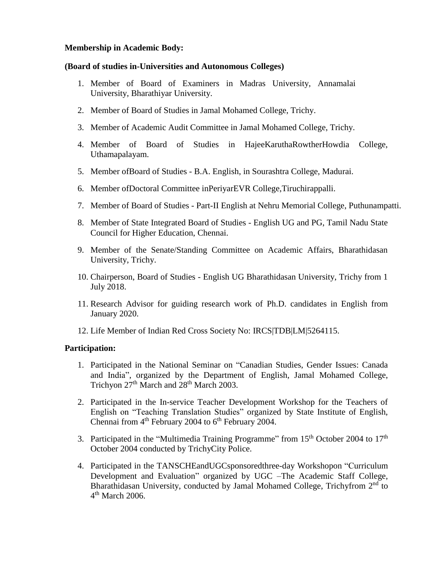## **Membership in Academic Body:**

## **(Board of studies in-Universities and Autonomous Colleges)**

- 1. Member of Board of Examiners in Madras University, Annamalai University, Bharathiyar University.
- 2. Member of Board of Studies in Jamal Mohamed College, Trichy.
- 3. Member of Academic Audit Committee in Jamal Mohamed College, Trichy.
- 4. Member of Board of Studies in HajeeKaruthaRowtherHowdia College, Uthamapalayam.
- 5. Member ofBoard of Studies B.A. English, in Sourashtra College, Madurai.
- 6. Member ofDoctoral Committee inPeriyarEVR College,Tiruchirappalli.
- 7. Member of Board of Studies Part-II English at Nehru Memorial College, Puthunampatti.
- 8. Member of State Integrated Board of Studies English UG and PG, Tamil Nadu State Council for Higher Education, Chennai.
- 9. Member of the Senate/Standing Committee on Academic Affairs, Bharathidasan University, Trichy.
- 10. Chairperson, Board of Studies English UG Bharathidasan University, Trichy from 1 July 2018.
- 11. Research Advisor for guiding research work of Ph.D. candidates in English from January 2020.
- 12. Life Member of Indian Red Cross Society No: IRCS|TDB|LM|5264115.

## **Participation:**

- 1. Participated in the National Seminar on "Canadian Studies, Gender Issues: Canada and India", organized by the Department of English, Jamal Mohamed College, Trichyon 27<sup>th</sup> March and 28<sup>th</sup> March 2003.
- 2. Participated in the In-service Teacher Development Workshop for the Teachers of English on "Teaching Translation Studies" organized by State Institute of English, Chennai from  $4<sup>th</sup>$  February 2004 to  $6<sup>th</sup>$  February 2004.
- 3. Participated in the "Multimedia Training Programme" from  $15<sup>th</sup>$  October 2004 to  $17<sup>th</sup>$ October 2004 conducted by TrichyCity Police.
- 4. Participated in the TANSCHEandUGCsponsoredthree-day Workshopon "Curriculum Development and Evaluation" organized by UGC –The Academic Staff College, Bharathidasan University, conducted by Jamal Mohamed College, Trichyfrom 2<sup>nd</sup> to 4 th March 2006.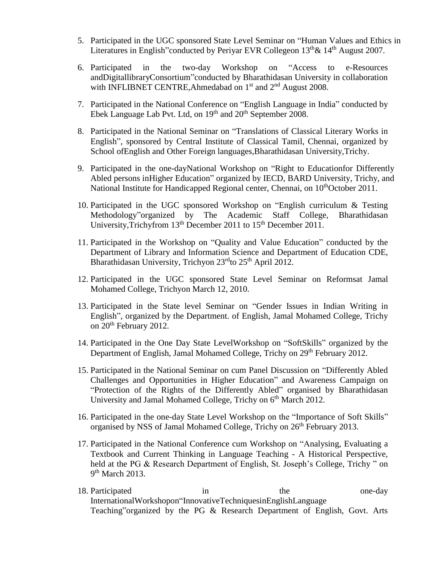- 5. Participated in the UGC sponsored State Level Seminar on "Human Values and Ethics in Literatures in English" conducted by Periyar EVR Collegeon  $13<sup>th</sup> \& 14<sup>th</sup>$  August 2007.
- 6. Participated in the two-day Workshop on "Access to e-Resources andDigitallibraryConsortium"conducted by Bharathidasan University in collaboration with INFLIBNET CENTRE, Ahmedabad on  $1<sup>st</sup>$  and  $2<sup>nd</sup>$  August 2008.
- 7. Participated in the National Conference on "English Language in India" conducted by Ebek Language Lab Pvt. Ltd, on  $19<sup>th</sup>$  and  $20<sup>th</sup>$  September 2008.
- 8. Participated in the National Seminar on "Translations of Classical Literary Works in English", sponsored by Central Institute of Classical Tamil, Chennai, organized by School ofEnglish and Other Foreign languages,Bharathidasan University,Trichy.
- 9. Participated in the one-dayNational Workshop on "Right to Educationfor Differently Abled persons inHigher Education" organized by IECD, BARD University, Trichy, and National Institute for Handicapped Regional center, Chennai, on 10<sup>th</sup>October 2011.
- 10. Participated in the UGC sponsored Workshop on "English curriculum & Testing Methodology"organized by The Academic Staff College, Bharathidasan University, Trichyfrom 13<sup>th</sup> December 2011 to 15<sup>th</sup> December 2011.
- 11. Participated in the Workshop on "Quality and Value Education" conducted by the Department of Library and Information Science and Department of Education CDE, Bharathidasan University, Trichyon 23<sup>rd</sup>to 25<sup>th</sup> April 2012.
- 12. Participated in the UGC sponsored State Level Seminar on Reformsat Jamal Mohamed College, Trichyon March 12, 2010.
- 13. Participated in the State level Seminar on "Gender Issues in Indian Writing in English", organized by the Department. of English, Jamal Mohamed College, Trichy on 20th February 2012.
- 14. Participated in the One Day State LevelWorkshop on "SoftSkills" organized by the Department of English, Jamal Mohamed College, Trichy on 29<sup>th</sup> February 2012.
- 15. Participated in the National Seminar on cum Panel Discussion on "Differently Abled Challenges and Opportunities in Higher Education" and Awareness Campaign on "Protection of the Rights of the Differently Abled" organised by Bharathidasan University and Jamal Mohamed College, Trichy on  $6<sup>th</sup>$  March 2012.
- 16. Participated in the one-day State Level Workshop on the "Importance of Soft Skills" organised by NSS of Jamal Mohamed College, Trichy on 26<sup>th</sup> February 2013.
- 17. Participated in the National Conference cum Workshop on "Analysing, Evaluating a Textbook and Current Thinking in Language Teaching - A Historical Perspective, held at the PG & Research Department of English, St. Joseph's College, Trichy " on 9<sup>th</sup> March 2013.
- 18. Participated in the one-day InternationalWorkshopon"InnovativeTechniquesinEnglishLanguage Teaching"organized by the PG & Research Department of English, Govt. Arts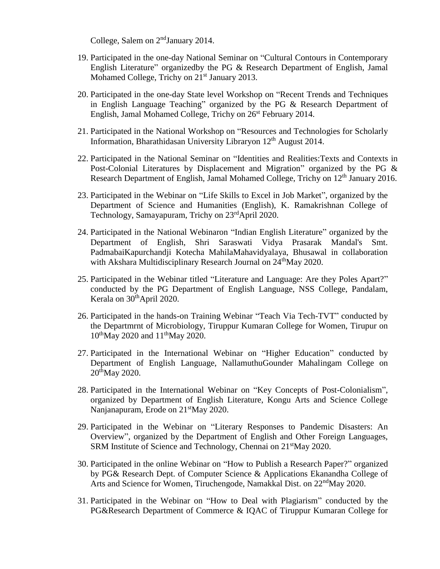College, Salem on 2<sup>nd</sup>January 2014.

- 19. Participated in the one-day National Seminar on "Cultural Contours in Contemporary English Literature" organizedby the PG & Research Department of English, Jamal Mohamed College, Trichy on 21<sup>st</sup> January 2013.
- 20. Participated in the one-day State level Workshop on "Recent Trends and Techniques in English Language Teaching" organized by the PG & Research Department of English, Jamal Mohamed College, Trichy on 26<sup>st</sup> February 2014.
- 21. Participated in the National Workshop on "Resources and Technologies for Scholarly Information, Bharathidasan University Libraryon  $12<sup>th</sup>$  August 2014.
- 22. Participated in the National Seminar on "Identities and Realities:Texts and Contexts in Post-Colonial Literatures by Displacement and Migration" organized by the PG & Research Department of English, Jamal Mohamed College, Trichy on 12<sup>th</sup> January 2016.
- 23. Participated in the Webinar on "Life Skills to Excel in Job Market", organized by the Department of Science and Humanities (English), K. Ramakrishnan College of Technology, Samayapuram, Trichy on 23<sup>rd</sup>April 2020.
- 24. Participated in the National Webinaron "Indian English Literature" organized by the Department of English, Shri Saraswati Vidya Prasarak Mandal's Smt. PadmabaiKapurchandji Kotecha MahilaMahavidyalaya, Bhusawal in collaboration with Akshara Multidisciplinary Research Journal on 24<sup>th</sup>May 2020.
- 25. Participated in the Webinar titled "Literature and Language: Are they Poles Apart?" conducted by the PG Department of English Language, NSS College, Pandalam, Kerala on 30<sup>th</sup>April 2020.
- 26. Participated in the hands-on Training Webinar "Teach Via Tech-TVT" conducted by the Departmrnt of Microbiology, Tiruppur Kumaran College for Women, Tirupur on  $10^{th}$ May 2020 and  $11^{th}$ May 2020.
- 27. Participated in the International Webinar on "Higher Education" conducted by Department of English Language, NallamuthuGounder Mahalingam College on 20thMay 2020.
- 28. Participated in the International Webinar on "Key Concepts of Post-Colonialism", organized by Department of English Literature, Kongu Arts and Science College Nanjanapuram, Erode on 21<sup>st</sup>May 2020.
- 29. Participated in the Webinar on "Literary Responses to Pandemic Disasters: An Overview", organized by the Department of English and Other Foreign Languages, SRM Institute of Science and Technology, Chennai on 21<sup>st</sup>May 2020.
- 30. Participated in the online Webinar on "How to Publish a Research Paper?" organized by PG& Research Dept. of Computer Science & Applications Ekanandha College of Arts and Science for Women, Tiruchengode, Namakkal Dist. on 22<sup>nd</sup>May 2020.
- 31. Participated in the Webinar on "How to Deal with Plagiarism" conducted by the PG&Research Department of Commerce & IQAC of Tiruppur Kumaran College for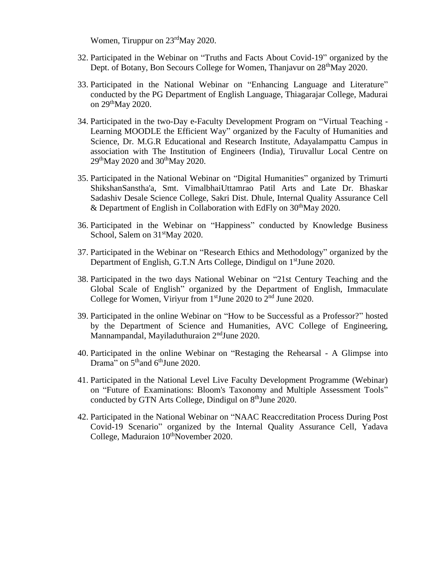Women, Tiruppur on 23<sup>rd</sup>May 2020.

- 32. Participated in the Webinar on "Truths and Facts About Covid-19" organized by the Dept. of Botany, Bon Secours College for Women, Thanjavur on 28<sup>th</sup>May 2020.
- 33. Participated in the National Webinar on "Enhancing Language and Literature" conducted by the PG Department of English Language, Thiagarajar College, Madurai on 29<sup>th</sup>May 2020.
- 34. Participated in the two-Day e-Faculty Development Program on "Virtual Teaching Learning MOODLE the Efficient Way" organized by the Faculty of Humanities and Science, Dr. M.G.R Educational and Research Institute, Adayalampattu Campus in association with The Institution of Engineers (India), Tiruvallur Local Centre on  $29<sup>th</sup>$ May 2020 and 30<sup>th</sup>May 2020.
- 35. Participated in the National Webinar on "Digital Humanities" organized by Trimurti ShikshanSanstha'a, Smt. VimalbhaiUttamrao Patil Arts and Late Dr. Bhaskar Sadashiv Desale Science College, Sakri Dist. Dhule, Internal Quality Assurance Cell & Department of English in Collaboration with EdFly on  $30<sup>th</sup>$ May 2020.
- 36. Participated in the Webinar on "Happiness" conducted by Knowledge Business School, Salem on  $31<sup>st</sup>$ May 2020.
- 37. Participated in the Webinar on "Research Ethics and Methodology" organized by the Department of English, G.T.N Arts College, Dindigul on 1<sup>st</sup>June 2020.
- 38. Participated in the two days National Webinar on "21st Century Teaching and the Global Scale of English" organized by the Department of English, Immaculate College for Women, Viriyur from 1<sup>st</sup>June 2020 to 2<sup>nd</sup> June 2020.
- 39. Participated in the online Webinar on "How to be Successful as a Professor?" hosted by the Department of Science and Humanities, AVC College of Engineering, Mannampandal, Mayiladuthuraion  $2<sup>nd</sup>June 2020$ .
- 40. Participated in the online Webinar on "Restaging the Rehearsal A Glimpse into Drama" on 5<sup>th</sup>and 6<sup>th</sup>June 2020.
- 41. Participated in the National Level Live Faculty Development Programme (Webinar) on "Future of Examinations: Bloom's Taxonomy and Multiple Assessment Tools" conducted by GTN Arts College, Dindigul on  $8<sup>th</sup>$  June 2020.
- 42. Participated in the National Webinar on "NAAC Reaccreditation Process During Post Covid-19 Scenario" organized by the Internal Quality Assurance Cell, Yadava College, Maduraion  $10^{th}$ November 2020.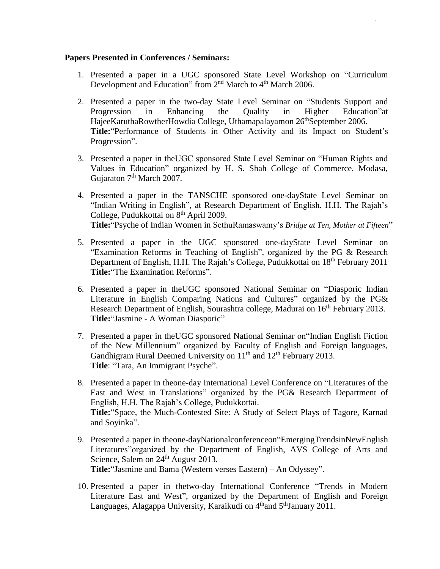## **Papers Presented in Conferences / Seminars:**

- 1. Presented a paper in a UGC sponsored State Level Workshop on "Curriculum Development and Education" from  $2<sup>nd</sup>$  March to  $4<sup>th</sup>$  March 2006.
- 2. Presented a paper in the two-day State Level Seminar on "Students Support and Progression in Enhancing the Quality in Higher Education"at HajeeKaruthaRowtherHowdia College, Uthamapalayamon 26<sup>th</sup>September 2006. **Title:**"Performance of Students in Other Activity and its Impact on Student's Progression".
- 3. Presented a paper in theUGC sponsored State Level Seminar on "Human Rights and Values in Education" organized by H. S. Shah College of Commerce, Modasa, Gujaraton 7<sup>th</sup> March 2007.
- 4. Presented a paper in the TANSCHE sponsored one-dayState Level Seminar on "Indian Writing in English", at Research Department of English, H.H. The Rajah's College, Pudukkottai on 8<sup>th</sup> April 2009. **Title:**"Psyche of Indian Women in SethuRamaswamy's *Bridge at Ten, Mother at Fifteen*"
- 5. Presented a paper in the UGC sponsored one-dayState Level Seminar on "Examination Reforms in Teaching of English", organized by the PG & Research Department of English, H.H. The Rajah's College, Pudukkottai on 18<sup>th</sup> February 2011 **Title:**"The Examination Reforms".
- 6. Presented a paper in theUGC sponsored National Seminar on "Diasporic Indian Literature in English Comparing Nations and Cultures" organized by the PG& Research Department of English, Sourashtra college, Madurai on 16<sup>th</sup> February 2013. **Title:**"Jasmine - A Woman Diasporic"
- 7. Presented a paper in theUGC sponsored National Seminar on"Indian English Fiction of the New Millennium" organized by Faculty of English and Foreign languages, Gandhigram Rural Deemed University on  $11<sup>th</sup>$  and  $12<sup>th</sup>$  February 2013. **Title**: "Tara, An Immigrant Psyche".
- 8. Presented a paper in theone-day International Level Conference on "Literatures of the East and West in Translations" organized by the PG& Research Department of English, H.H. The Rajah's College, Pudukkottai. **Title:**"Space, the Much-Contested Site: A Study of Select Plays of Tagore, Karnad and Soyinka".
- 9. Presented a paper in theone-dayNationalconferenceon"EmergingTrendsinNewEnglish Literatures"organized by the Department of English, AVS College of Arts and Science, Salem on 24<sup>th</sup> August 2013. **Title:**"Jasmine and Bama (Western verses Eastern) – An Odyssey".
- 10. Presented a paper in thetwo-day International Conference "Trends in Modern Literature East and West", organized by the Department of English and Foreign Languages, Alagappa University, Karaikudi on  $4<sup>th</sup>$ and  $5<sup>th</sup>$ January 2011.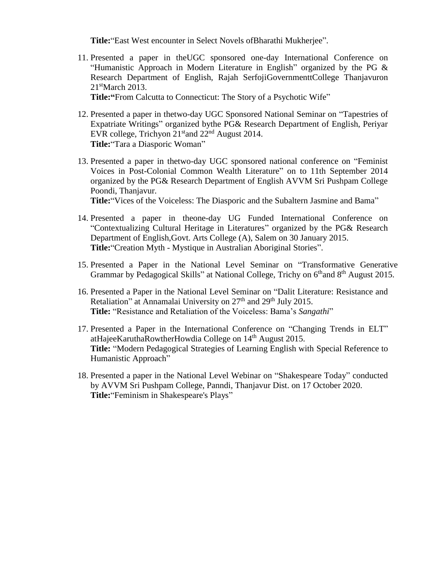**Title:**"East West encounter in Select Novels ofBharathi Mukherjee".

11. Presented a paper in theUGC sponsored one-day International Conference on "Humanistic Approach in Modern Literature in English" organized by the PG  $\&$ Research Department of English, Rajah SerfojiGovernmenttCollege Thanjavuron 21<sup>st</sup>March 2013.

**Title:"**From Calcutta to Connecticut: The Story of a Psychotic Wife"

- 12. Presented a paper in thetwo-day UGC Sponsored National Seminar on "Tapestries of Expatriate Writings" organized bythe PG& Research Department of English, Periyar EVR college, Trichyon  $21<sup>st</sup>$  and  $22<sup>nd</sup>$  August 2014. **Title:**"Tara a Diasporic Woman"
- 13. Presented a paper in thetwo-day UGC sponsored national conference on "Feminist Voices in Post-Colonial Common Wealth Literature" on to 11th September 2014 organized by the PG& Research Department of English AVVM Sri Pushpam College Poondi, Thanjavur.

**Title:**"Vices of the Voiceless: The Diasporic and the Subaltern Jasmine and Bama"

- 14. Presented a paper in theone-day UG Funded International Conference on "Contextualizing Cultural Heritage in Literatures" organized by the PG& Research Department of English,Govt. Arts College (A), Salem on 30 January 2015. **Title:**"Creation Myth - Mystique in Australian Aboriginal Stories".
- 15. Presented a Paper in the National Level Seminar on "Transformative Generative Grammar by Pedagogical Skills" at National College, Trichy on 6<sup>th</sup>and 8<sup>th</sup> August 2015.
- 16. Presented a Paper in the National Level Seminar on "Dalit Literature: Resistance and Retaliation" at Annamalai University on  $27<sup>th</sup>$  and  $29<sup>th</sup>$  July 2015. **Title:** "Resistance and Retaliation of the Voiceless: Bama's *Sangathi*"
- 17. Presented a Paper in the International Conference on "Changing Trends in ELT" atHajeeKaruthaRowtherHowdia College on 14<sup>th</sup> August 2015. **Title:** "Modern Pedagogical Strategies of Learning English with Special Reference to Humanistic Approach"
- 18. Presented a paper in the National Level Webinar on "Shakespeare Today" conducted by AVVM Sri Pushpam College, Panndi, Thanjavur Dist. on 17 October 2020. **Title:**"Feminism in Shakespeare's Plays"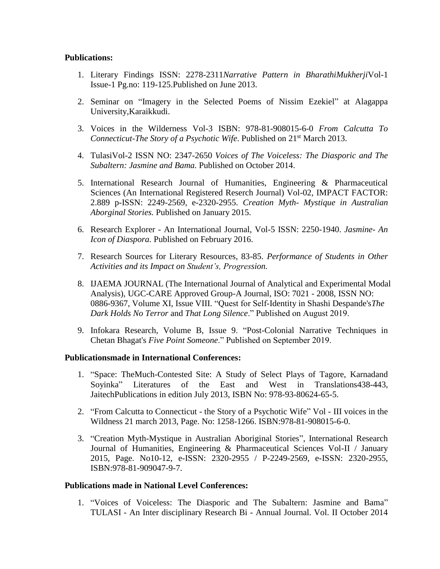## **Publications:**

- 1. Literary Findings ISSN: 2278-2311*Narrative Pattern in BharathiMukherji*Vol-1 Issue-1 Pg.no: 119-125.Published on June 2013.
- 2. Seminar on "Imagery in the Selected Poems of Nissim Ezekiel" at Alagappa University,Karaikkudi.
- 3. Voices in the Wilderness Vol-3 ISBN: 978-81-908015-6-0 *From Calcutta To Connecticut-The Story of a Psychotic Wife*. Published on 21st March 2013.
- 4. TulasiVol-2 ISSN NO: 2347-2650 *Voices of The Voiceless: The Diasporic and The Subaltern: Jasmine and Bama.* Published on October 2014.
- 5. International Research Journal of Humanities, Engineering & Pharmaceutical Sciences (An International Registered Reserch Journal) Vol-02, IMPACT FACTOR: 2.889 p-ISSN: 2249-2569, e-2320-2955. *Creation Myth- Mystique in Australian Aborginal Stories.* Published on January 2015.
- 6. Research Explorer An International Journal, Vol-5 ISSN: 2250-1940. *Jasmine- An Icon of Diaspora.* Published on February 2016.
- 7. Research Sources for Literary Resources, 83-85. *Performance of Students in Other Activities and its Impact on Student's, Progression.*
- 8. IJAEMA JOURNAL (The International Journal of Analytical and Experimental Modal Analysis), UGC-CARE Approved Group-A Journal, ISO: 7021 - 2008, ISSN NO: 0886-9367, Volume XI, Issue VIII. "Quest for Self-Identity in Shashi Despande's*The Dark Holds No Terror* and *That Long Silence*." Published on August 2019.
- 9. Infokara Research, Volume B, Issue 9. "Post-Colonial Narrative Techniques in Chetan Bhagat's *Five Point Someone*." Published on September 2019.

#### **Publicationsmade in International Conferences:**

- 1. "Space: TheMuch-Contested Site: A Study of Select Plays of Tagore, Karnadand Soyinka" Literatures of the East and West in Translations438-443, JaitechPublications in edition July 2013, ISBN No: 978-93-80624-65-5.
- 2. "From Calcutta to Connecticut the Story of a Psychotic Wife" Vol III voices in the Wildness 21 march 2013, Page. No: 1258-1266. ISBN:978-81-908015-6-0.
- 3. "Creation Myth-Mystique in Australian Aboriginal Stories", International Research Journal of Humanities, Engineering & Pharmaceutical Sciences Vol-II / January 2015, Page. No10-12, e-ISSN: 2320-2955 / P-2249-2569, e-ISSN: 2320-2955, ISBN:978-81-909047-9-7.

#### **Publications made in National Level Conferences:**

1. "Voices of Voiceless: The Diasporic and The Subaltern: Jasmine and Bama" TULASI - An Inter disciplinary Research Bi - Annual Journal. Vol. II October 2014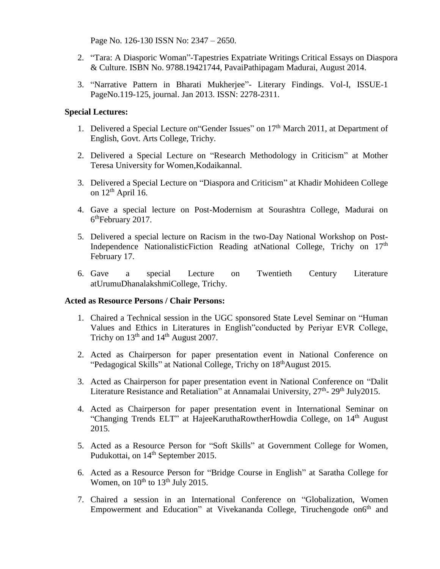Page No. 126-130 ISSN No: 2347 – 2650.

- 2. "Tara: A Diasporic Woman"-Tapestries Expatriate Writings Critical Essays on Diaspora & Culture. ISBN No. 9788.19421744, PavaiPathipagam Madurai, August 2014.
- 3. "Narrative Pattern in Bharati Mukherjee"- Literary Findings. Vol-I, ISSUE-1 PageNo.119-125, journal. Jan 2013. ISSN: 2278-2311.

## **Special Lectures:**

- 1. Delivered a Special Lecture on "Gender Issues" on 17<sup>th</sup> March 2011, at Department of English, Govt. Arts College, Trichy.
- 2. Delivered a Special Lecture on "Research Methodology in Criticism" at Mother Teresa University for Women,Kodaikannal.
- 3. Delivered a Special Lecture on "Diaspora and Criticism" at Khadir Mohideen College on  $12<sup>th</sup>$  April 16.
- 4. Gave a special lecture on Post-Modernism at Sourashtra College, Madurai on 6<sup>th</sup>February 2017.
- 5. Delivered a special lecture on Racism in the two-Day National Workshop on Post-Independence Nationalistic Fiction Reading at National College, Trichy on  $17<sup>th</sup>$ February 17.
- 6. Gave a special Lecture on Twentieth Century Literature atUrumuDhanalakshmiCollege, Trichy.

## **Acted as Resource Persons / Chair Persons:**

- 1. Chaired a Technical session in the UGC sponsored State Level Seminar on "Human Values and Ethics in Literatures in English"conducted by Periyar EVR College, Trichy on  $13<sup>th</sup>$  and  $14<sup>th</sup>$  August 2007.
- 2. Acted as Chairperson for paper presentation event in National Conference on "Pedagogical Skills" at National College, Trichy on 18<sup>th</sup>August 2015.
- 3. Acted as Chairperson for paper presentation event in National Conference on "Dalit Literature Resistance and Retaliation" at Annamalai University, 27<sup>th</sup>- 29<sup>th</sup> July2015.
- 4. Acted as Chairperson for paper presentation event in International Seminar on "Changing Trends ELT" at HajeeKaruthaRowtherHowdia College, on 14<sup>th</sup> August 2015.
- 5. Acted as a Resource Person for "Soft Skills" at Government College for Women, Pudukottai, on 14<sup>th</sup> September 2015.
- 6. Acted as a Resource Person for "Bridge Course in English" at Saratha College for Women, on  $10^{th}$  to  $13^{th}$  July 2015.
- 7. Chaired a session in an International Conference on "Globalization, Women Empowerment and Education" at Vivekananda College, Tiruchengode on6<sup>th</sup> and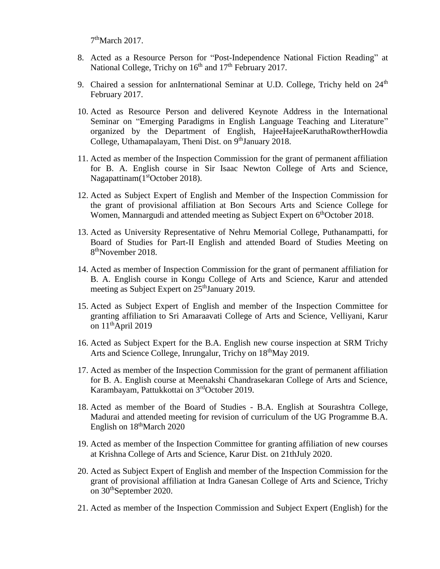7<sup>th</sup>March 2017.

- 8. Acted as a Resource Person for "Post-Independence National Fiction Reading" at National College, Trichy on  $16<sup>th</sup>$  and  $17<sup>th</sup>$  February 2017.
- 9. Chaired a session for anInternational Seminar at U.D. College, Trichy held on  $24<sup>th</sup>$ February 2017.
- 10. Acted as Resource Person and delivered Keynote Address in the International Seminar on "Emerging Paradigms in English Language Teaching and Literature" organized by the Department of English, HajeeHajeeKaruthaRowtherHowdia College, Uthamapalayam, Theni Dist. on 9<sup>th</sup>January 2018.
- 11. Acted as member of the Inspection Commission for the grant of permanent affiliation for B. A. English course in Sir Isaac Newton College of Arts and Science, Nagapattinam(1<sup>st</sup>October 2018).
- 12. Acted as Subject Expert of English and Member of the Inspection Commission for the grant of provisional affiliation at Bon Secours Arts and Science College for Women, Mannargudi and attended meeting as Subject Expert on 6<sup>th</sup>October 2018.
- 13. Acted as University Representative of Nehru Memorial College, Puthanampatti, for Board of Studies for Part-II English and attended Board of Studies Meeting on 8<sup>th</sup>November 2018.
- 14. Acted as member of Inspection Commission for the grant of permanent affiliation for B. A. English course in Kongu College of Arts and Science, Karur and attended meeting as Subject Expert on 25<sup>th</sup>January 2019.
- 15. Acted as Subject Expert of English and member of the Inspection Committee for granting affiliation to Sri Amaraavati College of Arts and Science, Velliyani, Karur on  $11<sup>th</sup>$ April 2019
- 16. Acted as Subject Expert for the B.A. English new course inspection at SRM Trichy Arts and Science College, Inrungalur, Trichy on 18<sup>th</sup>May 2019.
- 17. Acted as member of the Inspection Commission for the grant of permanent affiliation for B. A. English course at Meenakshi Chandrasekaran College of Arts and Science, Karambayam, Pattukkottai on 3rdOctober 2019.
- 18. Acted as member of the Board of Studies B.A. English at Sourashtra College, Madurai and attended meeting for revision of curriculum of the UG Programme B.A. English on  $18^{\text{th}}$ March 2020
- 19. Acted as member of the Inspection Committee for granting affiliation of new courses at Krishna College of Arts and Science, Karur Dist. on 21thJuly 2020.
- 20. Acted as Subject Expert of English and member of the Inspection Commission for the grant of provisional affiliation at Indra Ganesan College of Arts and Science, Trichy on 30thSeptember 2020.
- 21. Acted as member of the Inspection Commission and Subject Expert (English) for the